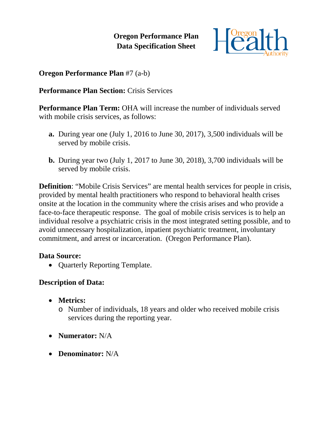**Oregon Performance Plan Data Specification Sheet**



## **Oregon Performance Plan** #7 (a-b)

### **Performance Plan Section:** Crisis Services

**Performance Plan Term:** OHA will increase the number of individuals served with mobile crisis services, as follows:

- **a.** During year one (July 1, 2016 to June 30, 2017), 3,500 individuals will be served by mobile crisis.
- **b.** During year two (July 1, 2017 to June 30, 2018), 3,700 individuals will be served by mobile crisis.

**Definition:** "Mobile Crisis Services" are mental health services for people in crisis, provided by mental health practitioners who respond to behavioral health crises onsite at the location in the community where the crisis arises and who provide a face-to-face therapeutic response. The goal of mobile crisis services is to help an individual resolve a psychiatric crisis in the most integrated setting possible, and to avoid unnecessary hospitalization, inpatient psychiatric treatment, involuntary commitment, and arrest or incarceration. (Oregon Performance Plan).

#### **Data Source:**

• **Quarterly Reporting Template.** 

# **Description of Data:**

- **Metrics:**
	- o Number of individuals, 18 years and older who received mobile crisis services during the reporting year.
- **Numerator:** N/A
- **Denominator:** N/A